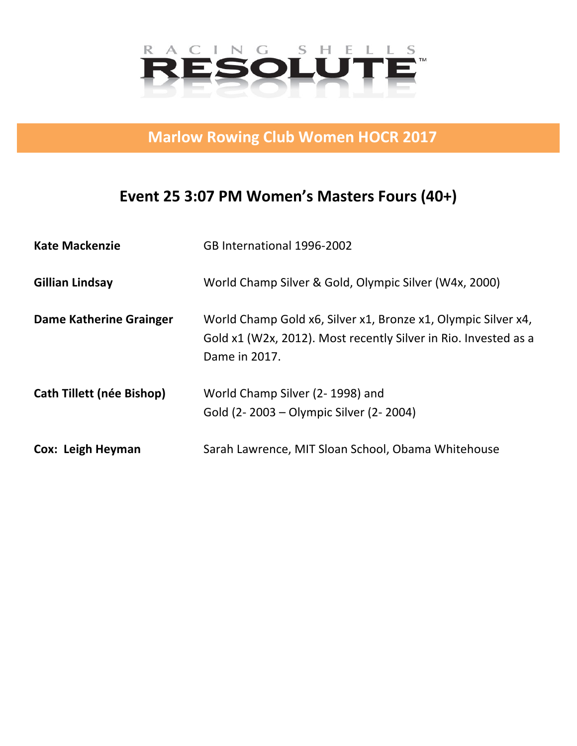

**Marlow Rowing Club Women HOCR 2017** 

## Event 25 3:07 PM Women's Masters Fours (40+)

| <b>Kate Mackenzie</b>            | GB International 1996-2002                                                                                                                        |
|----------------------------------|---------------------------------------------------------------------------------------------------------------------------------------------------|
| <b>Gillian Lindsay</b>           | World Champ Silver & Gold, Olympic Silver (W4x, 2000)                                                                                             |
| <b>Dame Katherine Grainger</b>   | World Champ Gold x6, Silver x1, Bronze x1, Olympic Silver x4,<br>Gold x1 (W2x, 2012). Most recently Silver in Rio. Invested as a<br>Dame in 2017. |
| <b>Cath Tillett (née Bishop)</b> | World Champ Silver (2-1998) and<br>Gold (2-2003 – Olympic Silver (2-2004)                                                                         |
| Cox: Leigh Heyman                | Sarah Lawrence, MIT Sloan School, Obama Whitehouse                                                                                                |